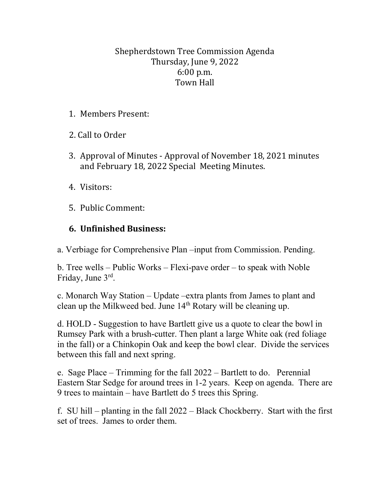## Shepherdstown Tree Commission Agenda Thursday, June 9, 2022 6:00 p.m. Town Hall

- 1. Members Present:
- 2. Call to Order
- 3. Approval of Minutes Approval of November 18, 2021 minutes and February 18, 2022 Special Meeting Minutes.
- 4. Visitors:
- 5. Public Comment:

## **6. Unfinished Business:**

a. Verbiage for Comprehensive Plan –input from Commission. Pending.

b. Tree wells – Public Works – Flexi-pave order – to speak with Noble Friday, June 3rd.

c. Monarch Way Station – Update –extra plants from James to plant and clean up the Milkweed bed. June 14<sup>th</sup> Rotary will be cleaning up.

d. HOLD - Suggestion to have Bartlett give us a quote to clear the bowl in Rumsey Park with a brush-cutter. Then plant a large White oak (red foliage in the fall) or a Chinkopin Oak and keep the bowl clear. Divide the services between this fall and next spring.

e. Sage Place – Trimming for the fall 2022 – Bartlett to do. Perennial Eastern Star Sedge for around trees in 1-2 years. Keep on agenda. There are 9 trees to maintain – have Bartlett do 5 trees this Spring.

f. SU hill – planting in the fall 2022 – Black Chockberry. Start with the first set of trees. James to order them.